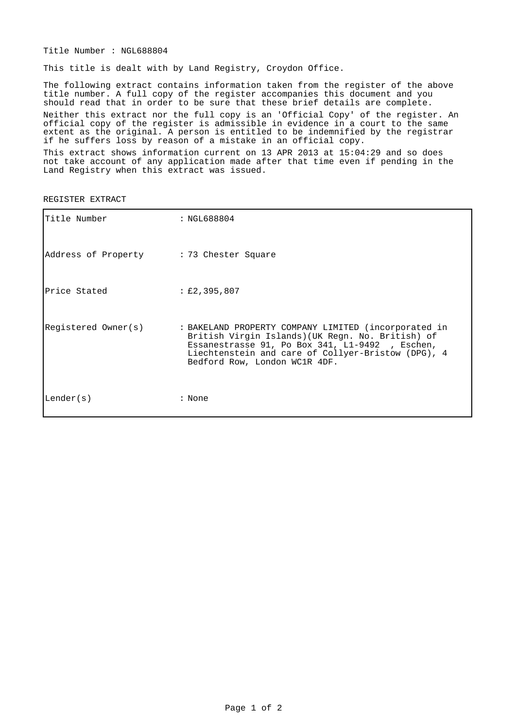Title Number : NGL688804

This title is dealt with by Land Registry, Croydon Office.

The following extract contains information taken from the register of the above title number. A full copy of the register accompanies this document and you should read that in order to be sure that these brief details are complete. Neither this extract nor the full copy is an 'Official Copy' of the register. An official copy of the register is admissible in evidence in a court to the same extent as the original. A person is entitled to be indemnified by the registrar if he suffers loss by reason of a mistake in an official copy.

This extract shows information current on 13 APR 2013 at 15:04:29 and so does not take account of any application made after that time even if pending in the Land Registry when this extract was issued.

| Title Number                            | : NGL688804                                                                                                                                                                                                                                        |
|-----------------------------------------|----------------------------------------------------------------------------------------------------------------------------------------------------------------------------------------------------------------------------------------------------|
| Address of Property : 73 Chester Square |                                                                                                                                                                                                                                                    |
| Price Stated                            | $\pm 2,395,807$                                                                                                                                                                                                                                    |
| Registered Owner(s)                     | : BAKELAND PROPERTY COMPANY LIMITED (incorporated in<br>British Virgin Islands) (UK Regn. No. British) of<br>Essanestrasse 91, Po Box 341, L1-9492, Eschen,<br>Liechtenstein and care of Collyer-Bristow (DPG), 4<br>Bedford Row, London WC1R 4DF. |
| Lender(s)                               | : None                                                                                                                                                                                                                                             |